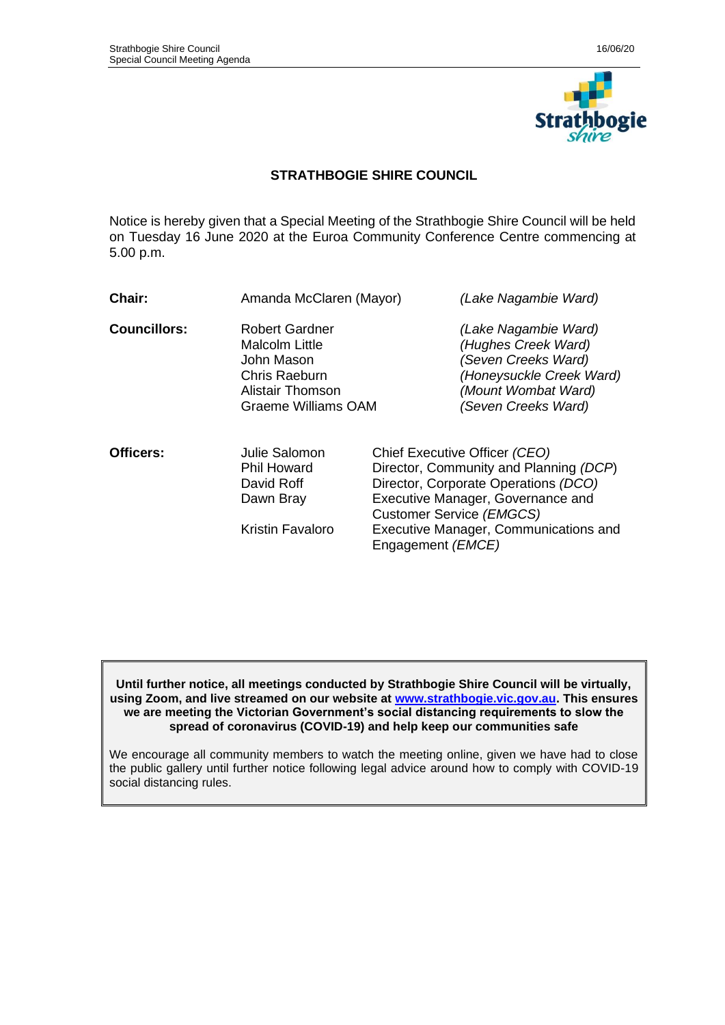

# **STRATHBOGIE SHIRE COUNCIL**

Notice is hereby given that a Special Meeting of the Strathbogie Shire Council will be held on Tuesday 16 June 2020 at the Euroa Community Conference Centre commencing at 5.00 p.m.

| <b>Chair:</b>       | Amanda McClaren (Mayor)                                                                                                  |                                                                                                                                                                                                                                                         | (Lake Nagambie Ward)                                                                                                                         |
|---------------------|--------------------------------------------------------------------------------------------------------------------------|---------------------------------------------------------------------------------------------------------------------------------------------------------------------------------------------------------------------------------------------------------|----------------------------------------------------------------------------------------------------------------------------------------------|
| <b>Councillors:</b> | <b>Robert Gardner</b><br>Malcolm Little<br>John Mason<br>Chris Raeburn<br>Alistair Thomson<br><b>Graeme Williams OAM</b> |                                                                                                                                                                                                                                                         | (Lake Nagambie Ward)<br>(Hughes Creek Ward)<br>(Seven Creeks Ward)<br>(Honeysuckle Creek Ward)<br>(Mount Wombat Ward)<br>(Seven Creeks Ward) |
| Officers:           | Julie Salomon<br><b>Phil Howard</b><br>David Roff<br>Dawn Bray<br>Kristin Favaloro                                       | Chief Executive Officer (CEO)<br>Director, Community and Planning (DCP)<br>Director, Corporate Operations (DCO)<br>Executive Manager, Governance and<br>Customer Service (EMGCS)<br>Executive Manager, Communications and<br>Engagement ( <i>EMCE</i> ) |                                                                                                                                              |

**Until further notice, all meetings conducted by Strathbogie Shire Council will be virtually, using Zoom, and live streamed on our website at [www.strathbogie.vic.gov.au.](http://www.strathbogie.vic.gov.au/) This ensures we are meeting the Victorian Government's social distancing requirements to slow the spread of coronavirus (COVID-19) and help keep our communities safe**

We encourage all community members to watch the meeting online, given we have had to close the public gallery until further notice following legal advice around how to comply with COVID-19 social distancing rules.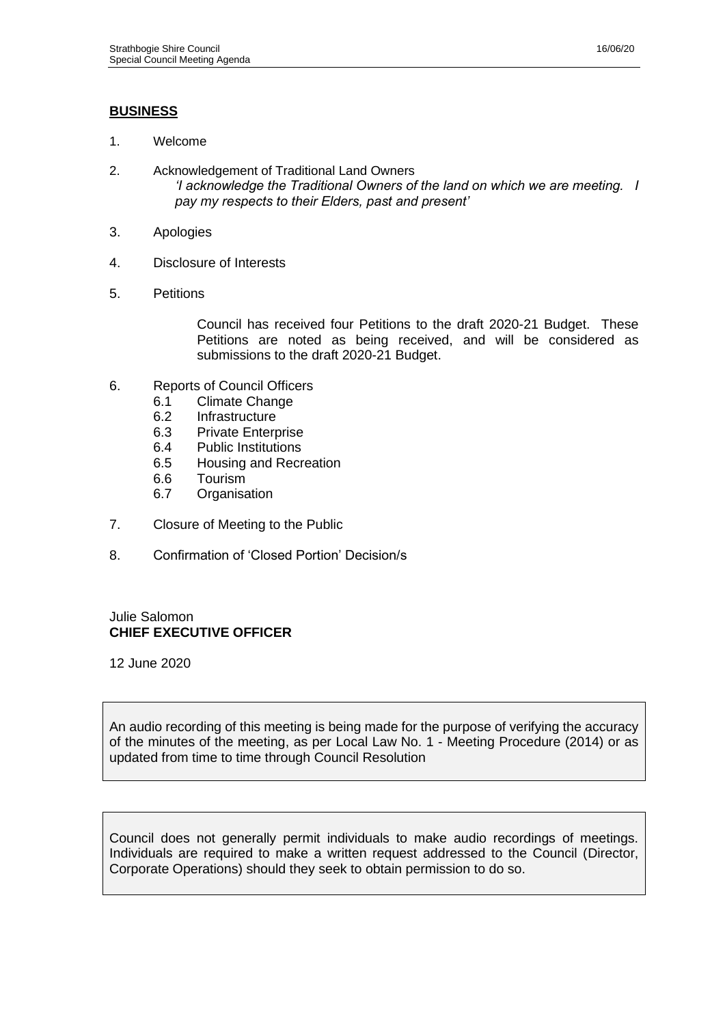# **BUSINESS**

- 1. Welcome
- 2. Acknowledgement of Traditional Land Owners *'I acknowledge the Traditional Owners of the land on which we are meeting. I pay my respects to their Elders, past and present'*
- 3. Apologies
- 4. Disclosure of Interests
- 5. Petitions

Council has received four Petitions to the draft 2020-21 Budget. These Petitions are noted as being received, and will be considered as submissions to the draft 2020-21 Budget.

- 6. Reports of Council Officers
	- 6.1 Climate Change
		-
		- 6.2 Infrastructure<br>6.3 Private Enterp Private Enterprise
		- 6.4 Public Institutions<br>6.5 Housing and Recr
		- 6.5 Housing and Recreation
		- 6.6 Tourism
		- 6.7 Organisation
- 7. Closure of Meeting to the Public
- 8. Confirmation of 'Closed Portion' Decision/s

# Julie Salomon **CHIEF EXECUTIVE OFFICER**

12 June 2020

An audio recording of this meeting is being made for the purpose of verifying the accuracy of the minutes of the meeting, as per Local Law No. 1 - Meeting Procedure (2014) or as updated from time to time through Council Resolution

Council does not generally permit individuals to make audio recordings of meetings. Individuals are required to make a written request addressed to the Council (Director, Corporate Operations) should they seek to obtain permission to do so.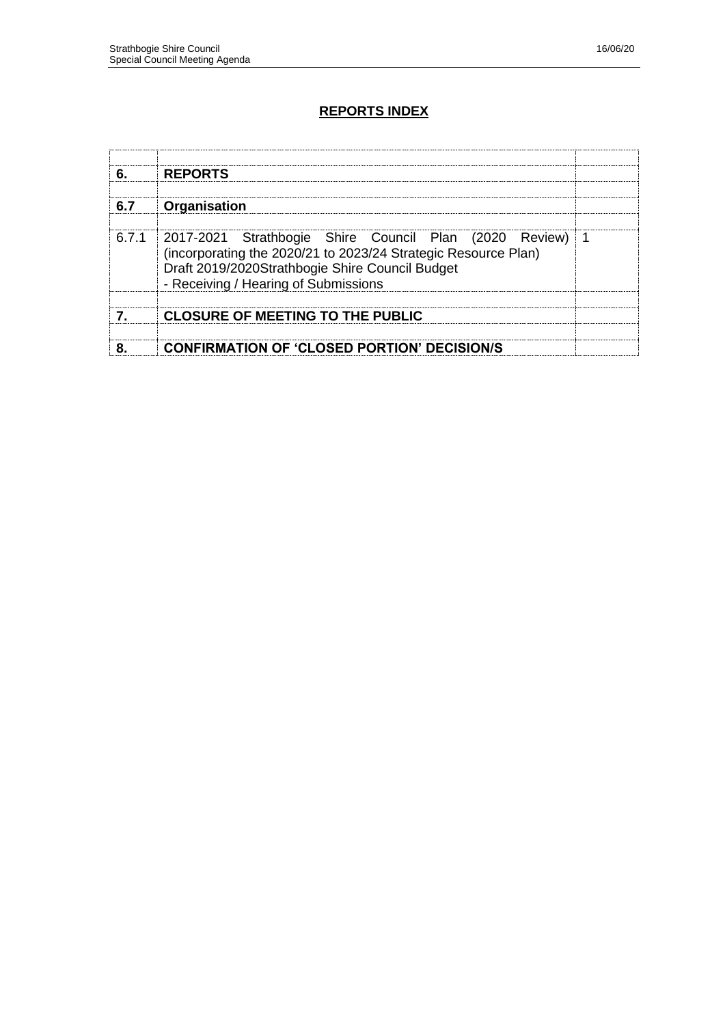# **REPORTS INDEX**

| 6.    | <b>REPORTS</b>                                                                                                                                                                                                      |  |
|-------|---------------------------------------------------------------------------------------------------------------------------------------------------------------------------------------------------------------------|--|
| 6.7   | Organisation                                                                                                                                                                                                        |  |
| 6.7.1 | 2017-2021 Strathbogie Shire Council Plan (2020 Review)<br>(incorporating the 2020/21 to 2023/24 Strategic Resource Plan)<br>Draft 2019/2020Strathbogie Shire Council Budget<br>- Receiving / Hearing of Submissions |  |
|       | <b>CLOSURE OF MEETING TO THE PUBLIC</b>                                                                                                                                                                             |  |
|       | <b>CONFIRMATION OF 'CLOSED PORTION' DECISION/S</b>                                                                                                                                                                  |  |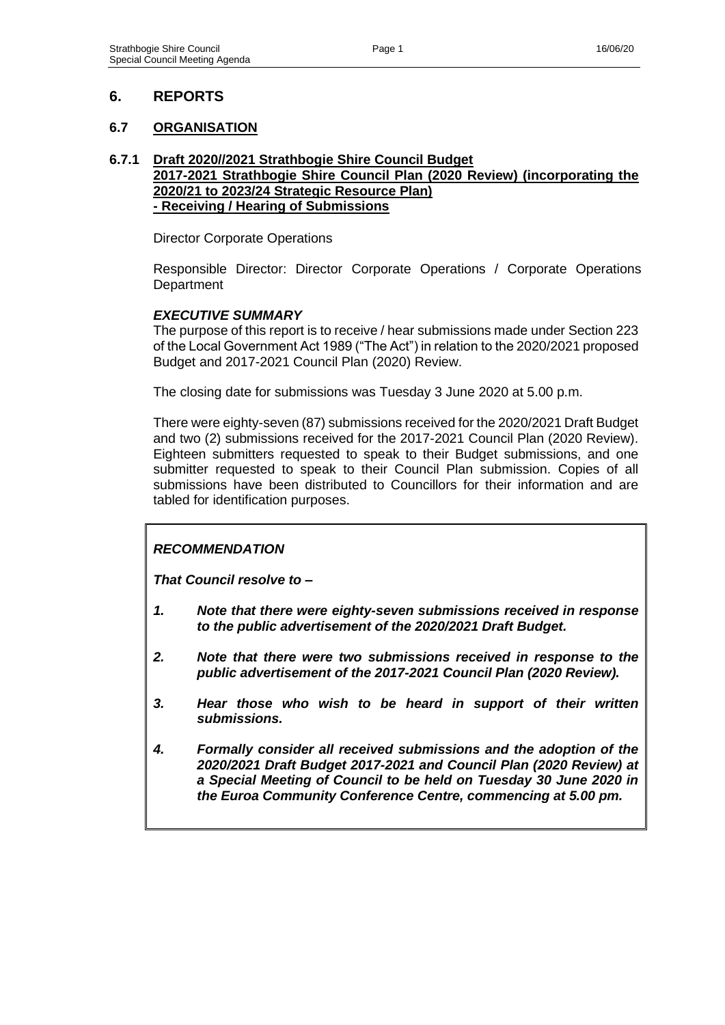# **6. REPORTS**

# **6.7 ORGANISATION**

### **6.7.1 Draft 2020//2021 Strathbogie Shire Council Budget 2017-2021 Strathbogie Shire Council Plan (2020 Review) (incorporating the 2020/21 to 2023/24 Strategic Resource Plan) - Receiving / Hearing of Submissions**

Director Corporate Operations

Responsible Director: Director Corporate Operations / Corporate Operations **Department** 

# *EXECUTIVE SUMMARY*

The purpose of this report is to receive / hear submissions made under Section 223 of the Local Government Act 1989 ("The Act") in relation to the 2020/2021 proposed Budget and 2017-2021 Council Plan (2020) Review.

The closing date for submissions was Tuesday 3 June 2020 at 5.00 p.m.

There were eighty-seven (87) submissions received for the 2020/2021 Draft Budget and two (2) submissions received for the 2017-2021 Council Plan (2020 Review). Eighteen submitters requested to speak to their Budget submissions, and one submitter requested to speak to their Council Plan submission. Copies of all submissions have been distributed to Councillors for their information and are tabled for identification purposes.

# *RECOMMENDATION*

*That Council resolve to –*

- *1. Note that there were eighty-seven submissions received in response to the public advertisement of the 2020/2021 Draft Budget.*
- *2. Note that there were two submissions received in response to the public advertisement of the 2017-2021 Council Plan (2020 Review).*
- *3. Hear those who wish to be heard in support of their written submissions.*
- *4. Formally consider all received submissions and the adoption of the 2020/2021 Draft Budget 2017-2021 and Council Plan (2020 Review) at a Special Meeting of Council to be held on Tuesday 30 June 2020 in the Euroa Community Conference Centre, commencing at 5.00 pm.*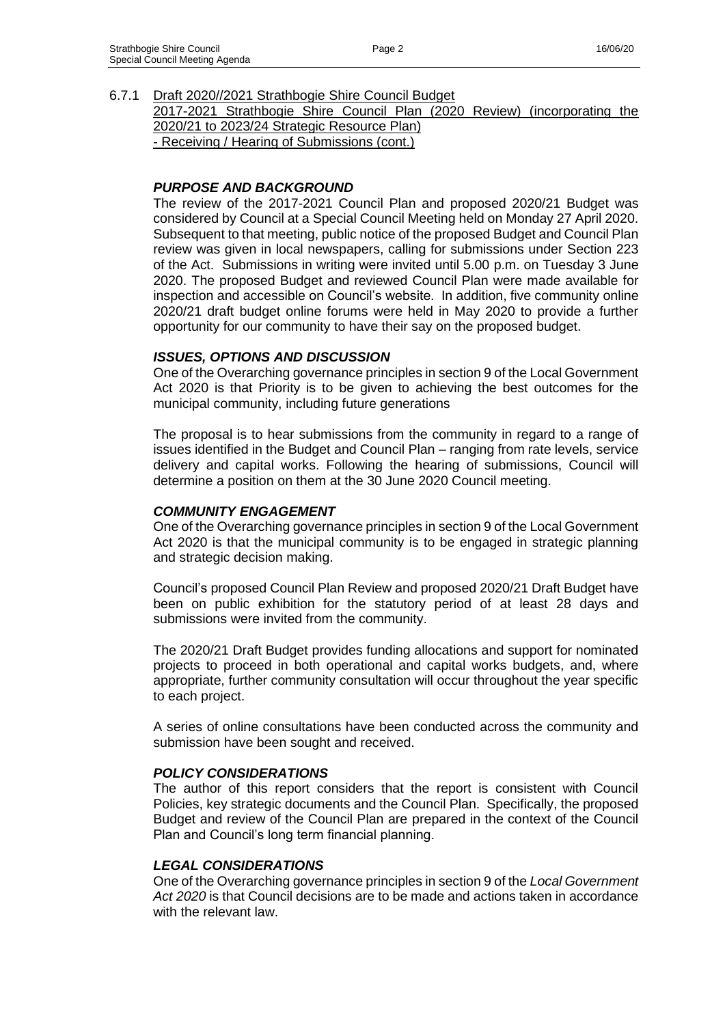6.7.1 Draft 2020//2021 Strathbogie Shire Council Budget

2017-2021 Strathbogie Shire Council Plan (2020 Review) (incorporating the 2020/21 to 2023/24 Strategic Resource Plan)

- Receiving / Hearing of Submissions (cont.)

# *PURPOSE AND BACKGROUND*

The review of the 2017-2021 Council Plan and proposed 2020/21 Budget was considered by Council at a Special Council Meeting held on Monday 27 April 2020. Subsequent to that meeting, public notice of the proposed Budget and Council Plan review was given in local newspapers, calling for submissions under Section 223 of the Act. Submissions in writing were invited until 5.00 p.m. on Tuesday 3 June 2020. The proposed Budget and reviewed Council Plan were made available for inspection and accessible on Council's website. In addition, five community online 2020/21 draft budget online forums were held in May 2020 to provide a further opportunity for our community to have their say on the proposed budget.

# *ISSUES, OPTIONS AND DISCUSSION*

One of the Overarching governance principles in section 9 of the Local Government Act 2020 is that Priority is to be given to achieving the best outcomes for the municipal community, including future generations

The proposal is to hear submissions from the community in regard to a range of issues identified in the Budget and Council Plan – ranging from rate levels, service delivery and capital works. Following the hearing of submissions, Council will determine a position on them at the 30 June 2020 Council meeting.

### *COMMUNITY ENGAGEMENT*

One of the Overarching governance principles in section 9 of the Local Government Act 2020 is that the municipal community is to be engaged in strategic planning and strategic decision making.

Council's proposed Council Plan Review and proposed 2020/21 Draft Budget have been on public exhibition for the statutory period of at least 28 days and submissions were invited from the community.

The 2020/21 Draft Budget provides funding allocations and support for nominated projects to proceed in both operational and capital works budgets, and, where appropriate, further community consultation will occur throughout the year specific to each project.

A series of online consultations have been conducted across the community and submission have been sought and received.

### *POLICY CONSIDERATIONS*

The author of this report considers that the report is consistent with Council Policies, key strategic documents and the Council Plan. Specifically, the proposed Budget and review of the Council Plan are prepared in the context of the Council Plan and Council's long term financial planning.

### *LEGAL CONSIDERATIONS*

One of the Overarching governance principles in section 9 of the *Local Government Act 2020* is that Council decisions are to be made and actions taken in accordance with the relevant law.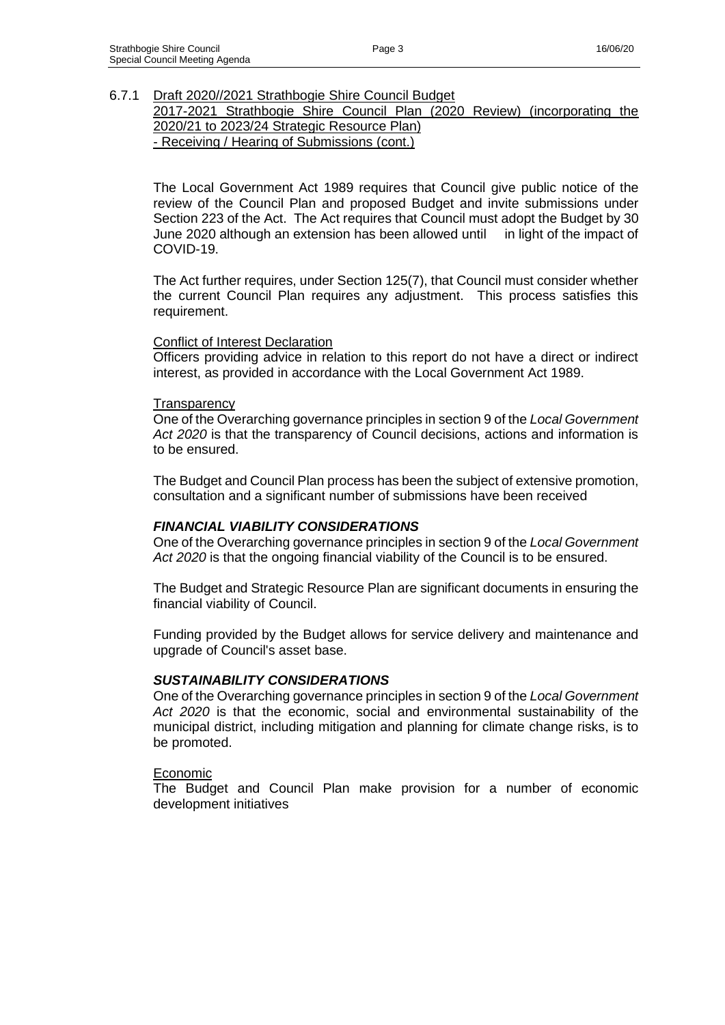### 6.7.1 Draft 2020//2021 Strathbogie Shire Council Budget

2017-2021 Strathbogie Shire Council Plan (2020 Review) (incorporating the 2020/21 to 2023/24 Strategic Resource Plan)

- Receiving / Hearing of Submissions (cont.)

The Local Government Act 1989 requires that Council give public notice of the review of the Council Plan and proposed Budget and invite submissions under Section 223 of the Act. The Act requires that Council must adopt the Budget by 30 June 2020 although an extension has been allowed until in light of the impact of COVID-19.

The Act further requires, under Section 125(7), that Council must consider whether the current Council Plan requires any adjustment. This process satisfies this requirement.

### Conflict of Interest Declaration

Officers providing advice in relation to this report do not have a direct or indirect interest, as provided in accordance with the Local Government Act 1989.

#### **Transparency**

One of the Overarching governance principles in section 9 of the *Local Government Act 2020* is that the transparency of Council decisions, actions and information is to be ensured.

The Budget and Council Plan process has been the subject of extensive promotion, consultation and a significant number of submissions have been received

### *FINANCIAL VIABILITY CONSIDERATIONS*

One of the Overarching governance principles in section 9 of the *Local Government Act 2020* is that the ongoing financial viability of the Council is to be ensured.

The Budget and Strategic Resource Plan are significant documents in ensuring the financial viability of Council.

Funding provided by the Budget allows for service delivery and maintenance and upgrade of Council's asset base.

### *SUSTAINABILITY CONSIDERATIONS*

One of the Overarching governance principles in section 9 of the *Local Government Act 2020* is that the economic, social and environmental sustainability of the municipal district, including mitigation and planning for climate change risks, is to be promoted.

#### **Economic**

The Budget and Council Plan make provision for a number of economic development initiatives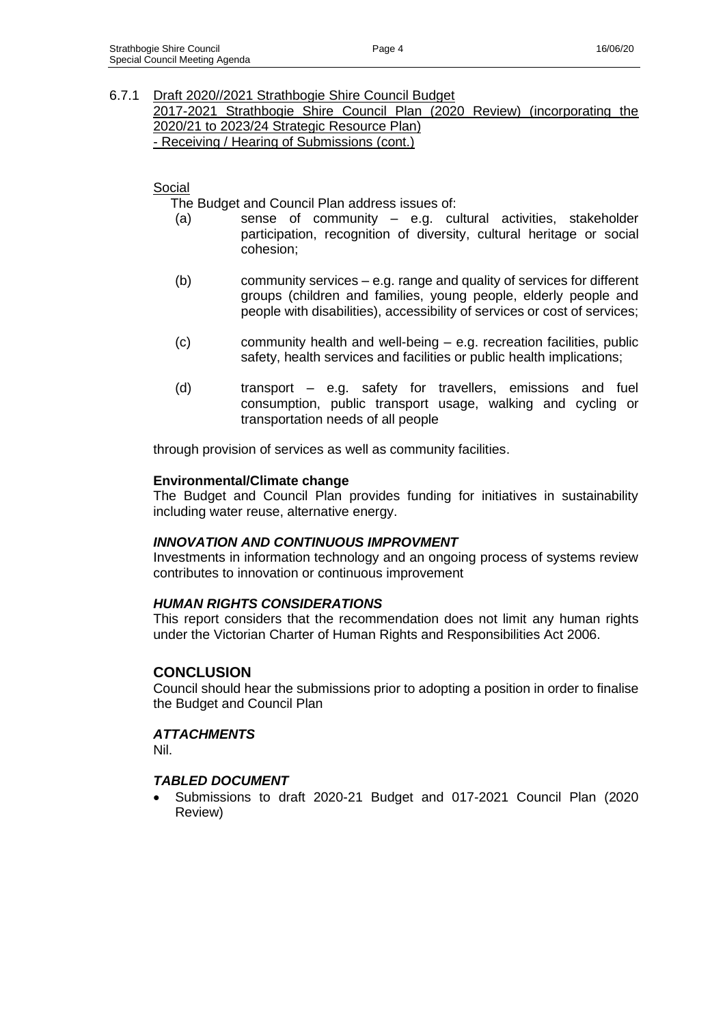### 6.7.1 Draft 2020//2021 Strathbogie Shire Council Budget

2017-2021 Strathbogie Shire Council Plan (2020 Review) (incorporating the 2020/21 to 2023/24 Strategic Resource Plan)

- Receiving / Hearing of Submissions (cont.)

# Social

The Budget and Council Plan address issues of:

- (a) sense of community e.g. cultural activities, stakeholder participation, recognition of diversity, cultural heritage or social cohesion;
- (b) community services e.g. range and quality of services for different groups (children and families, young people, elderly people and people with disabilities), accessibility of services or cost of services;
- (c) community health and well-being e.g. recreation facilities, public safety, health services and facilities or public health implications;
- (d) transport e.g. safety for travellers, emissions and fuel consumption, public transport usage, walking and cycling or transportation needs of all people

through provision of services as well as community facilities.

### **Environmental/Climate change**

The Budget and Council Plan provides funding for initiatives in sustainability including water reuse, alternative energy.

# *INNOVATION AND CONTINUOUS IMPROVMENT*

Investments in information technology and an ongoing process of systems review contributes to innovation or continuous improvement

### *HUMAN RIGHTS CONSIDERATIONS*

This report considers that the recommendation does not limit any human rights under the Victorian Charter of Human Rights and Responsibilities Act 2006.

# **CONCLUSION**

Council should hear the submissions prior to adopting a position in order to finalise the Budget and Council Plan

### *ATTACHMENTS*

Nil.

# *TABLED DOCUMENT*

• Submissions to draft 2020-21 Budget and 017-2021 Council Plan (2020 Review)